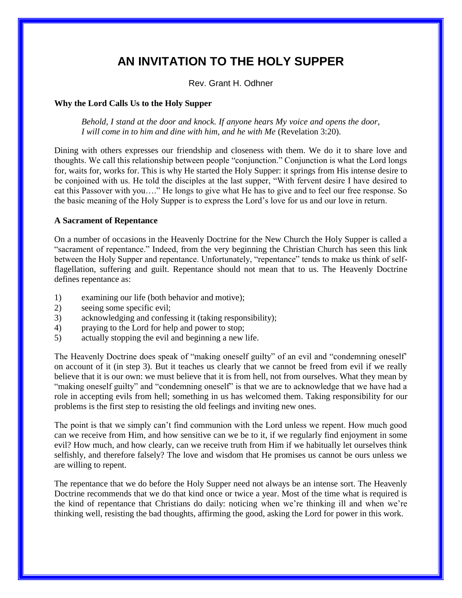# **AN INVITATION TO THE HOLY SUPPER**

Rev. Grant H. Odhner

## **Why the Lord Calls Us to the Holy Supper**

*Behold, I stand at the door and knock. If anyone hears My voice and opens the door, I will come in to him and dine with him, and he with Me (Revelation 3:20).* 

Dining with others expresses our friendship and closeness with them. We do it to share love and thoughts. We call this relationship between people "conjunction." Conjunction is what the Lord longs for, waits for, works for. This is why He started the Holy Supper: it springs from His intense desire to be conjoined with us. He told the disciples at the last supper, "With fervent desire I have desired to eat this Passover with you…." He longs to give what He has to give and to feel our free response. So the basic meaning of the Holy Supper is to express the Lord's love for us and our love in return.

## **A Sacrament of Repentance**

On a number of occasions in the Heavenly Doctrine for the New Church the Holy Supper is called a "sacrament of repentance." Indeed, from the very beginning the Christian Church has seen this link between the Holy Supper and repentance. Unfortunately, "repentance" tends to make us think of selfflagellation, suffering and guilt. Repentance should not mean that to us. The Heavenly Doctrine defines repentance as:

- 1) examining our life (both behavior and motive);
- 2) seeing some specific evil;
- 3) acknowledging and confessing it (taking responsibility);
- 4) praying to the Lord for help and power to stop;
- 5) actually stopping the evil and beginning a new life.

The Heavenly Doctrine does speak of "making oneself guilty" of an evil and "condemning oneself' on account of it (in step 3). But it teaches us clearly that we cannot be freed from evil if we really believe that it is our own: we must believe that it is from hell, not from ourselves. What they mean by "making oneself guilty" and "condemning oneself" is that we are to acknowledge that we have had a role in accepting evils from hell; something in us has welcomed them. Taking responsibility for our problems is the first step to resisting the old feelings and inviting new ones.

The point is that we simply can't find communion with the Lord unless we repent. How much good can we receive from Him, and how sensitive can we be to it, if we regularly find enjoyment in some evil? How much, and how clearly, can we receive truth from Him if we habitually let ourselves think selfishly, and therefore falsely? The love and wisdom that He promises us cannot be ours unless we are willing to repent.

The repentance that we do before the Holy Supper need not always be an intense sort. The Heavenly Doctrine recommends that we do that kind once or twice a year. Most of the time what is required is the kind of repentance that Christians do daily: noticing when we're thinking ill and when we're thinking well, resisting the bad thoughts, affirming the good, asking the Lord for power in this work.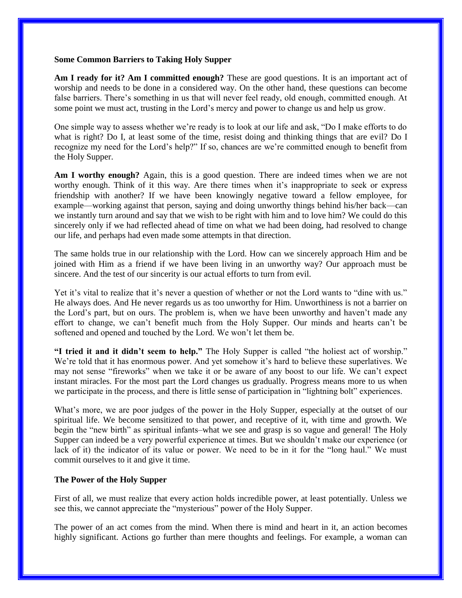#### **Some Common Barriers to Taking Holy Supper**

**Am I ready for it? Am I committed enough?** These are good questions. It is an important act of worship and needs to be done in a considered way. On the other hand, these questions can become false barriers. There's something in us that will never feel ready, old enough, committed enough. At some point we must act, trusting in the Lord's mercy and power to change us and help us grow.

One simple way to assess whether we're ready is to look at our life and ask, "Do I make efforts to do what is right? Do I, at least some of the time, resist doing and thinking things that are evil? Do I recognize my need for the Lord's help?" If so, chances are we're committed enough to benefit from the Holy Supper.

**Am I worthy enough?** Again, this is a good question. There are indeed times when we are not worthy enough. Think of it this way. Are there times when it's inappropriate to seek or express friendship with another? If we have been knowingly negative toward a fellow employee, for example—working against that person, saying and doing unworthy things behind his/her back—can we instantly turn around and say that we wish to be right with him and to love him? We could do this sincerely only if we had reflected ahead of time on what we had been doing, had resolved to change our life, and perhaps had even made some attempts in that direction.

The same holds true in our relationship with the Lord. How can we sincerely approach Him and be joined with Him as a friend if we have been living in an unworthy way? Our approach must be sincere. And the test of our sincerity is our actual efforts to turn from evil.

Yet it's vital to realize that it's never a question of whether or not the Lord wants to "dine with us." He always does. And He never regards us as too unworthy for Him. Unworthiness is not a barrier on the Lord's part, but on ours. The problem is, when we have been unworthy and haven't made any effort to change, we can't benefit much from the Holy Supper. Our minds and hearts can't be softened and opened and touched by the Lord. We won't let them be.

**"I tried it and it didn't seem to help."** The Holy Supper is called "the holiest act of worship." We're told that it has enormous power. And yet somehow it's hard to believe these superlatives. We may not sense "fireworks" when we take it or be aware of any boost to our life. We can't expect instant miracles. For the most part the Lord changes us gradually. Progress means more to us when we participate in the process, and there is little sense of participation in "lightning bolt" experiences.

What's more, we are poor judges of the power in the Holy Supper, especially at the outset of our spiritual life. We become sensitized to that power, and receptive of it, with time and growth. We begin the "new birth" as spiritual infants–what we see and grasp is so vague and general! The Holy Supper can indeed be a very powerful experience at times. But we shouldn't make our experience (or lack of it) the indicator of its value or power. We need to be in it for the "long haul." We must commit ourselves to it and give it time.

## **The Power of the Holy Supper**

First of all, we must realize that every action holds incredible power, at least potentially. Unless we see this, we cannot appreciate the "mysterious" power of the Holy Supper.

The power of an act comes from the mind. When there is mind and heart in it, an action becomes highly significant. Actions go further than mere thoughts and feelings. For example, a woman can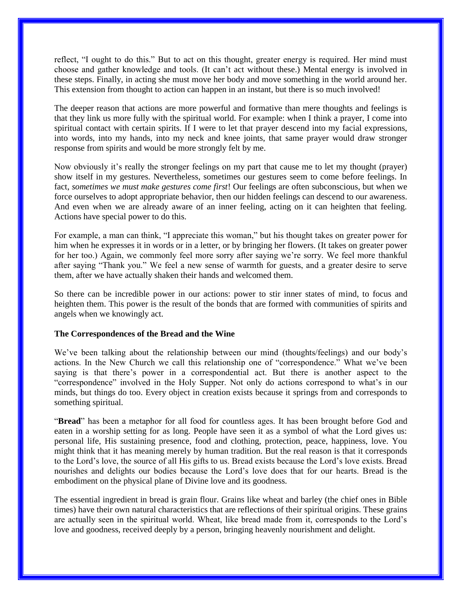reflect, "I ought to do this." But to act on this thought, greater energy is required. Her mind must choose and gather knowledge and tools. (It can't act without these.) Mental energy is involved in these steps. Finally, in acting she must move her body and move something in the world around her. This extension from thought to action can happen in an instant, but there is so much involved!

The deeper reason that actions are more powerful and formative than mere thoughts and feelings is that they link us more fully with the spiritual world. For example: when I think a prayer, I come into spiritual contact with certain spirits. If I were to let that prayer descend into my facial expressions, into words, into my hands, into my neck and knee joints, that same prayer would draw stronger response from spirits and would be more strongly felt by me.

Now obviously it's really the stronger feelings on my part that cause me to let my thought (prayer) show itself in my gestures. Nevertheless, sometimes our gestures seem to come before feelings. In fact, *sometimes we must make gestures come first*! Our feelings are often subconscious, but when we force ourselves to adopt appropriate behavior, then our hidden feelings can descend to our awareness. And even when we are already aware of an inner feeling, acting on it can heighten that feeling. Actions have special power to do this.

For example, a man can think, "I appreciate this woman," but his thought takes on greater power for him when he expresses it in words or in a letter, or by bringing her flowers. (It takes on greater power for her too.) Again, we commonly feel more sorry after saying we're sorry. We feel more thankful after saying "Thank you." We feel a new sense of warmth for guests, and a greater desire to serve them, after we have actually shaken their hands and welcomed them.

So there can be incredible power in our actions: power to stir inner states of mind, to focus and heighten them. This power is the result of the bonds that are formed with communities of spirits and angels when we knowingly act.

## **The Correspondences of the Bread and the Wine**

We've been talking about the relationship between our mind (thoughts/feelings) and our body's actions. In the New Church we call this relationship one of "correspondence." What we've been saying is that there's power in a correspondential act. But there is another aspect to the "correspondence" involved in the Holy Supper. Not only do actions correspond to what's in our minds, but things do too. Every object in creation exists because it springs from and corresponds to something spiritual.

"**Bread**" has been a metaphor for all food for countless ages. It has been brought before God and eaten in a worship setting for as long. People have seen it as a symbol of what the Lord gives us: personal life, His sustaining presence, food and clothing, protection, peace, happiness, love. You might think that it has meaning merely by human tradition. But the real reason is that it corresponds to the Lord's love, the source of all His gifts to us. Bread exists because the Lord's love exists. Bread nourishes and delights our bodies because the Lord's love does that for our hearts. Bread is the embodiment on the physical plane of Divine love and its goodness.

The essential ingredient in bread is grain flour. Grains like wheat and barley (the chief ones in Bible times) have their own natural characteristics that are reflections of their spiritual origins. These grains are actually seen in the spiritual world. Wheat, like bread made from it, corresponds to the Lord's love and goodness, received deeply by a person, bringing heavenly nourishment and delight.